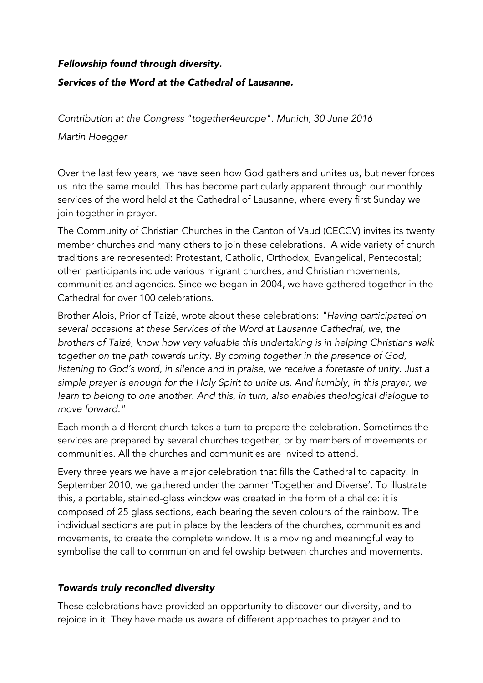# *Fellowship found through diversity. Services of the Word at the Cathedral of Lausanne.*

*Contribution at the Congress "together4europe". Munich, 30 June 2016 Martin Hoegger*

Over the last few years, we have seen how God gathers and unites us, but never forces us into the same mould. This has become particularly apparent through our monthly services of the word held at the Cathedral of Lausanne, where every first Sunday we join together in prayer.

The Community of Christian Churches in the Canton of Vaud (CECCV) invites its twenty member churches and many others to join these celebrations. A wide variety of church traditions are represented: Protestant, Catholic, Orthodox, Evangelical, Pentecostal; other participants include various migrant churches, and Christian movements, communities and agencies. Since we began in 2004, we have gathered together in the Cathedral for over 100 celebrations.

Brother Alois, Prior of Taizé, wrote about these celebrations: *"Having participated on several occasions at these Services of the Word at Lausanne Cathedral, we, the brothers of Taizé, know how very valuable this undertaking is in helping Christians walk together on the path towards unity. By coming together in the presence of God, listening to God's word, in silence and in praise, we receive a foretaste of unity. Just a simple prayer is enough for the Holy Spirit to unite us. And humbly, in this prayer, we learn to belong to one another. And this, in turn, also enables theological dialogue to move forward."*

Each month a different church takes a turn to prepare the celebration. Sometimes the services are prepared by several churches together, or by members of movements or communities. All the churches and communities are invited to attend.

Every three years we have a major celebration that fills the Cathedral to capacity. In September 2010, we gathered under the banner 'Together and Diverse'. To illustrate this, a portable, stained-glass window was created in the form of a chalice: it is composed of 25 glass sections, each bearing the seven colours of the rainbow. The individual sections are put in place by the leaders of the churches, communities and movements, to create the complete window. It is a moving and meaningful way to symbolise the call to communion and fellowship between churches and movements.

## *Towards truly reconciled diversity*

These celebrations have provided an opportunity to discover our diversity, and to rejoice in it. They have made us aware of different approaches to prayer and to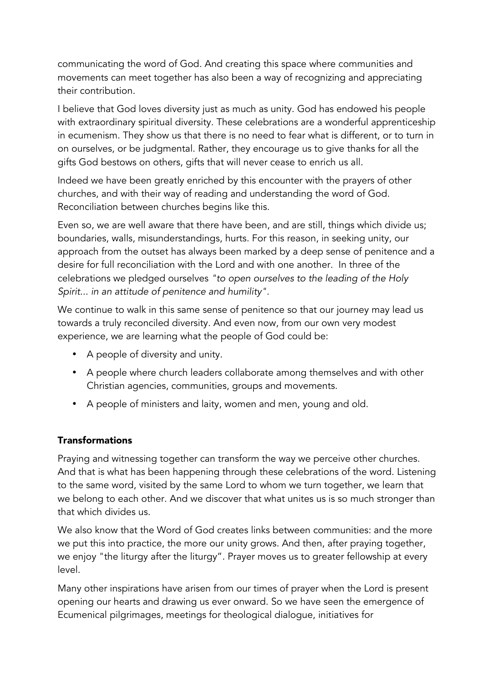communicating the word of God. And creating this space where communities and movements can meet together has also been a way of recognizing and appreciating their contribution.

I believe that God loves diversity just as much as unity. God has endowed his people with extraordinary spiritual diversity. These celebrations are a wonderful apprenticeship in ecumenism. They show us that there is no need to fear what is different, or to turn in on ourselves, or be judgmental. Rather, they encourage us to give thanks for all the gifts God bestows on others, gifts that will never cease to enrich us all.

Indeed we have been greatly enriched by this encounter with the prayers of other churches, and with their way of reading and understanding the word of God. Reconciliation between churches begins like this.

Even so, we are well aware that there have been, and are still, things which divide us; boundaries, walls, misunderstandings, hurts. For this reason, in seeking unity, our approach from the outset has always been marked by a deep sense of penitence and a desire for full reconciliation with the Lord and with one another. In three of the celebrations we pledged ourselves *"to open ourselves to the leading of the Holy Spirit... in an attitude of penitence and humility".*

We continue to walk in this same sense of penitence so that our journey may lead us towards a truly reconciled diversity. And even now, from our own very modest experience, we are learning what the people of God could be:

- A people of diversity and unity.
- A people where church leaders collaborate among themselves and with other Christian agencies, communities, groups and movements.
- A people of ministers and laity, women and men, young and old.

#### Transformations

Praying and witnessing together can transform the way we perceive other churches. And that is what has been happening through these celebrations of the word. Listening to the same word, visited by the same Lord to whom we turn together, we learn that we belong to each other. And we discover that what unites us is so much stronger than that which divides us.

We also know that the Word of God creates links between communities: and the more we put this into practice, the more our unity grows. And then, after praying together, we enjoy "the liturgy after the liturgy". Prayer moves us to greater fellowship at every level.

Many other inspirations have arisen from our times of prayer when the Lord is present opening our hearts and drawing us ever onward. So we have seen the emergence of Ecumenical pilgrimages, meetings for theological dialogue, initiatives for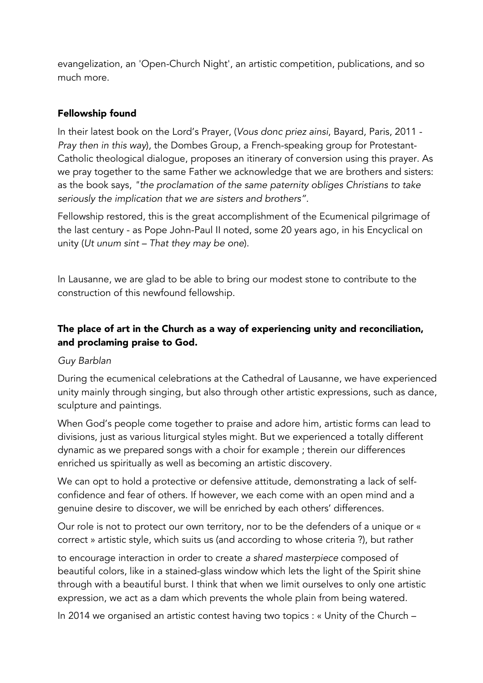evangelization, an 'Open-Church Night', an artistic competition, publications, and so much more.

### Fellowship found

In their latest book on the Lord's Prayer, (*Vous donc priez ainsi*, Bayard, Paris, 2011 - *Pray then in this way*), the Dombes Group, a French-speaking group for Protestant-Catholic theological dialogue, proposes an itinerary of conversion using this prayer. As we pray together to the same Father we acknowledge that we are brothers and sisters: as the book says, *"the proclamation of the same paternity obliges Christians to take seriously the implication that we are sisters and brothers".* 

Fellowship restored, this is the great accomplishment of the Ecumenical pilgrimage of the last century - as Pope John-Paul II noted, some 20 years ago, in his Encyclical on unity (*Ut unum sint – That they may be one*).

In Lausanne, we are glad to be able to bring our modest stone to contribute to the construction of this newfound fellowship.

# The place of art in the Church as a way of experiencing unity and reconciliation, and proclaming praise to God.

#### *Guy Barblan*

During the ecumenical celebrations at the Cathedral of Lausanne, we have experienced unity mainly through singing, but also through other artistic expressions, such as dance, sculpture and paintings.

When God's people come together to praise and adore him, artistic forms can lead to divisions, just as various liturgical styles might. But we experienced a totally different dynamic as we prepared songs with a choir for example ; therein our differences enriched us spiritually as well as becoming an artistic discovery.

We can opt to hold a protective or defensive attitude, demonstrating a lack of selfconfidence and fear of others. If however, we each come with an open mind and a genuine desire to discover, we will be enriched by each others' differences.

Our role is not to protect our own territory, nor to be the defenders of a unique or « correct » artistic style, which suits us (and according to whose criteria ?), but rather

to encourage interaction in order to create *a shared masterpiece* composed of beautiful colors, like in a stained-glass window which lets the light of the Spirit shine through with a beautiful burst. I think that when we limit ourselves to only one artistic expression, we act as a dam which prevents the whole plain from being watered.

In 2014 we organised an artistic contest having two topics : « Unity of the Church –